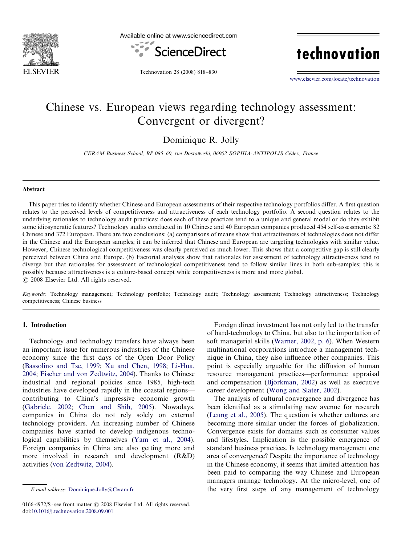

Available online at www.sciencedirect.com



technovation

Technovation 28 (2008) 818–830

<www.elsevier.com/locate/technovation>

## Chinese vs. European views regarding technology assessment: Convergent or divergent?

Dominique R. Jolly

CERAM Business School, BP 085-60, rue Dostoïevski, 06902 SOPHIA-ANTIPOLIS Cédex, France

#### Abstract

This paper tries to identify whether Chinese and European assessments of their respective technology portfolios differ. A first question relates to the perceived levels of competitiveness and attractiveness of each technology portfolio. A second question relates to the underlying rationales to technology audit practices: does each of these practices tend to a unique and general model or do they exhibit some idiosyncratic features? Technology audits conducted in 10 Chinese and 40 European companies produced 454 self-assessments: 82 Chinese and 372 European. There are two conclusions: (a) comparisons of means show that attractiveness of technologies does not differ in the Chinese and the European samples; it can be inferred that Chinese and European are targeting technologies with similar value. However, Chinese technological competitiveness was clearly perceived as much lower. This shows that a competitive gap is still clearly perceived between China and Europe. (b) Factorial analyses show that rationales for assessment of technology attractiveness tend to diverge but that rationales for assessment of technological competitiveness tend to follow similar lines in both sub-samples; this is possibly because attractiveness is a culture-based concept while competitiveness is more and more global.  $\odot$  2008 Elsevier Ltd. All rights reserved.

Keywords: Technology management; Technology portfolio; Technology audit; Technology assessment; Technology attractiveness; Technology competitiveness; Chinese business

#### 1. Introduction

Technology and technology transfers have always been an important issue for numerous industries of the Chinese economy since the first days of the Open Door Policy [\(Bassolino and Tse, 1999](#page--1-0); [Xu and Chen, 1998](#page--1-0); [Li-Hua,](#page--1-0) [2004;](#page--1-0) [Fischer and von Zedtwitz, 2004](#page--1-0)). Thanks to Chinese industrial and regional policies since 1985, high-tech industries have developed rapidly in the coastal regions contributing to China's impressive economic growth [\(Gabriele, 2002;](#page--1-0) [Chen and Shih, 2005](#page--1-0)). Nowadays, companies in China do not rely solely on external technology providers. An increasing number of Chinese companies have started to develop indigenous technological capabilities by themselves [\(Yam et al., 2004\)](#page--1-0). Foreign companies in China are also getting more and more involved in research and development (R&D) activities ([von Zedtwitz, 2004](#page--1-0)).

Foreign direct investment has not only led to the transfer of hard-technology to China, but also to the importation of soft managerial skills [\(Warner, 2002, p. 6\)](#page--1-0). When Western multinational corporations introduce a management technique in China, they also influence other companies. This point is especially arguable for the diffusion of human resource management practices––performance appraisal and compensation (Björkman, 2002) as well as executive career development ([Wong and Slater, 2002](#page--1-0)).

The analysis of cultural convergence and divergence has been identified as a stimulating new avenue for research [\(Leung et al., 2005](#page--1-0)). The question is whether cultures are becoming more similar under the forces of globalization. Convergence exists for domains such as consumer values and lifestyles. Implication is the possible emergence of standard business practices. Is technology management one area of convergence? Despite the importance of technology in the Chinese economy, it seems that limited attention has been paid to comparing the way Chinese and European managers manage technology. At the micro-level, one of the very first steps of any management of technology

E-mail address: [Dominique.Jolly@Ceram.fr](mailto:Dominique.Jolly@Ceram.fr)

<sup>0166-4972/\$ -</sup> see front matter  $\odot$  2008 Elsevier Ltd. All rights reserved. doi:[10.1016/j.technovation.2008.09.001](dx.doi.org/10.1016/j.technovation.2008.09.001)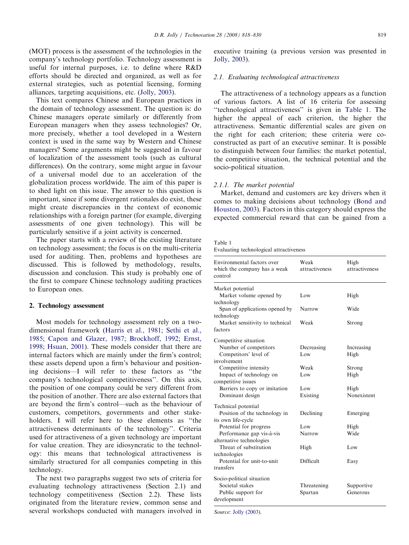(MOT) process is the assessment of the technologies in the company's technology portfolio. Technology assessment is useful for internal purposes, i.e. to define where R&D efforts should be directed and organized, as well as for external strategies, such as potential licensing, forming alliances, targeting acquisitions, etc. [\(Jolly, 2003](#page--1-0)).

This text compares Chinese and European practices in the domain of technology assessment. The question is: do Chinese managers operate similarly or differently from European managers when they assess technologies? Or, more precisely, whether a tool developed in a Western context is used in the same way by Western and Chinese managers? Some arguments might be suggested in favour of localization of the assessment tools (such as cultural differences). On the contrary, some might argue in favour of a universal model due to an acceleration of the globalization process worldwide. The aim of this paper is to shed light on this issue. The answer to this question is important, since if some divergent rationales do exist, these might create discrepancies in the context of economic relationships with a foreign partner (for example, diverging assessments of one given technology). This will be particularly sensitive if a joint activity is concerned.

The paper starts with a review of the existing literature on technology assessment; the focus is on the multi-criteria used for auditing. Then, problems and hypotheses are discussed. This is followed by methodology, results, discussion and conclusion. This study is probably one of the first to compare Chinese technology auditing practices to European ones.

#### 2. Technology assessment

Most models for technology assessment rely on a twodimensional framework [\(Harris et al., 1981](#page--1-0); [Sethi et al.,](#page--1-0) [1985](#page--1-0); [Capon and Glazer, 1987](#page--1-0); [Brockhoff, 1992;](#page--1-0) [Ernst,](#page--1-0) [1998](#page--1-0); [Hsuan, 2001](#page--1-0)). These models consider that there are internal factors which are mainly under the firm's control; these assets depend upon a firm's behaviour and positioning decisions––I will refer to these factors as ''the company's technological competitiveness''. On this axis, the position of one company could be very different from the position of another. There are also external factors that are beyond the firm's control––such as the behaviour of customers, competitors, governments and other stakeholders. I will refer here to these elements as ''the attractiveness determinants of the technology''. Criteria used for attractiveness of a given technology are important for value creation. They are idiosyncratic to the technology: this means that technological attractiveness is similarly structured for all companies competing in this technology.

The next two paragraphs suggest two sets of criteria for evaluating technology attractiveness (Section 2.1) and technology competitiveness (Section 2.2). These lists originated from the literature review, common sense and several workshops conducted with managers involved in

executive training (a previous version was presented in [Jolly, 2003\)](#page--1-0).

#### 2.1. Evaluating technological attractiveness

The attractiveness of a technology appears as a function of various factors. A list of 16 criteria for assessing ''technological attractiveness'' is given in Table 1. The higher the appeal of each criterion, the higher the attractiveness. Semantic differential scales are given on the right for each criterion; these criteria were coconstructed as part of an executive seminar. It is possible to distinguish between four families: the market potential, the competitive situation, the technical potential and the socio-political situation.

#### 2.1.1. The market potential

Market, demand and customers are key drivers when it comes to making decisions about technology ([Bond and](#page--1-0) [Houston, 2003](#page--1-0)). Factors in this category should express the expected commercial reward that can be gained from a

### Table 1

|  | Evaluating technological attractiveness |  |
|--|-----------------------------------------|--|
|  |                                         |  |

| Environmental factors over<br>which the company has a weak<br>control | Weak<br>attractiveness | High<br>attractiveness |
|-----------------------------------------------------------------------|------------------------|------------------------|
| Market potential<br>Market volume opened by                           | Low                    | High                   |
| technology<br>Span of applications opened by                          | Narrow                 | Wide                   |
| technology<br>Market sensitivity to technical<br>factors              | Weak                   | Strong                 |
| Competitive situation                                                 |                        |                        |
| Number of competitors                                                 | Decreasing             | Increasing             |
| Competitors' level of                                                 | Low                    | High                   |
| involvement                                                           |                        |                        |
| Competitive intensity                                                 | Weak                   | Strong                 |
| Impact of technology on                                               | Low                    | High                   |
| competitive issues                                                    |                        |                        |
| Barriers to copy or imitation                                         | Low                    | High                   |
| Dominant design                                                       | Existing               | Nonexistent            |
| Technical potential                                                   |                        |                        |
| Position of the technology in                                         | Declining              | Emerging               |
| its own life-cycle                                                    |                        |                        |
| Potential for progress                                                | Low                    | High                   |
| Performance gap vis-à-vis                                             | Narrow                 | Wide                   |
| alternative technologies                                              |                        |                        |
| Threat of substitution                                                | High                   | Low                    |
| technologies                                                          |                        |                        |
| Potential for unit-to-unit                                            | Difficult              | Easy                   |
| transfers                                                             |                        |                        |
| Socio-political situation                                             |                        |                        |
| Societal stakes                                                       | Threatening            | Supportive             |
| Public support for                                                    | Spartan                | Generous               |
| development                                                           |                        |                        |

Source: [Jolly \(2003\)](#page--1-0).